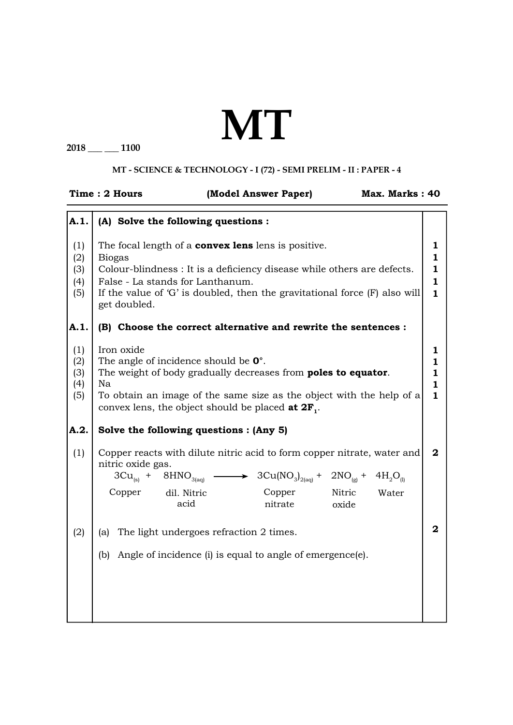## **MT**

**2018 \_\_\_ \_\_\_ 1100**

## **MT - SCIENCE & TECHNOLOGY - I (72) - SEMI PRELIM - II : PAPER - 4**

|                                         | Time: 2 Hours                                                                                               |                     | (Model Answer Paper)                                                                                                                                                                                                                                                                  |                 | Max. Marks: 40 |                                                                   |
|-----------------------------------------|-------------------------------------------------------------------------------------------------------------|---------------------|---------------------------------------------------------------------------------------------------------------------------------------------------------------------------------------------------------------------------------------------------------------------------------------|-----------------|----------------|-------------------------------------------------------------------|
| A.1.                                    | (A) Solve the following questions :                                                                         |                     |                                                                                                                                                                                                                                                                                       |                 |                |                                                                   |
| (1)<br>(2)<br>(3)<br>(4)<br>(5)<br>A.1. | <b>Biogas</b><br>False - La stands for Lanthanum.<br>get doubled.                                           |                     | The focal length of a <b>convex lens</b> lens is positive.<br>Colour-blindness : It is a deficiency disease while others are defects.<br>If the value of 'G' is doubled, then the gravitational force (F) also will<br>(B) Choose the correct alternative and rewrite the sentences : |                 |                | 1<br>1<br>$\mathbf{1}$<br>$\mathbf{1}$<br>$\mathbf{1}$            |
| (1)<br>(2)<br>(3)<br>(4)<br>(5)<br>A.2. | Iron oxide<br>The angle of incidence should be $0^\circ$ .<br>Na<br>Solve the following questions : (Any 5) |                     | The weight of body gradually decreases from <b>poles to equator</b> .<br>To obtain an image of the same size as the object with the help of a<br>convex lens, the object should be placed at $2F_1$ .                                                                                 |                 |                | 1<br>$\mathbf{1}$<br>$\mathbf{1}$<br>$\mathbf{1}$<br>$\mathbf{1}$ |
| (1)                                     | nitric oxide gas.<br>$3Cu(s) + 8HNO3(aq)$<br>Copper                                                         | dil. Nitric<br>acid | Copper reacts with dilute nitric acid to form copper nitrate, water and<br>$\rightarrow$ 3Cu(NO <sub>3</sub> ) <sub>2(aq)</sub> + 2NO <sub>(g)</sub> + 4H <sub>2</sub> O <sub>(l)</sub><br>Copper<br>nitrate                                                                          | Nitric<br>oxide | Water          | $\boldsymbol{2}$                                                  |
| (2)                                     | (a)<br>(b)                                                                                                  |                     | The light undergoes refraction 2 times.<br>Angle of incidence (i) is equal to angle of emergence(e).                                                                                                                                                                                  |                 |                | $\overline{2}$                                                    |
|                                         |                                                                                                             |                     |                                                                                                                                                                                                                                                                                       |                 |                |                                                                   |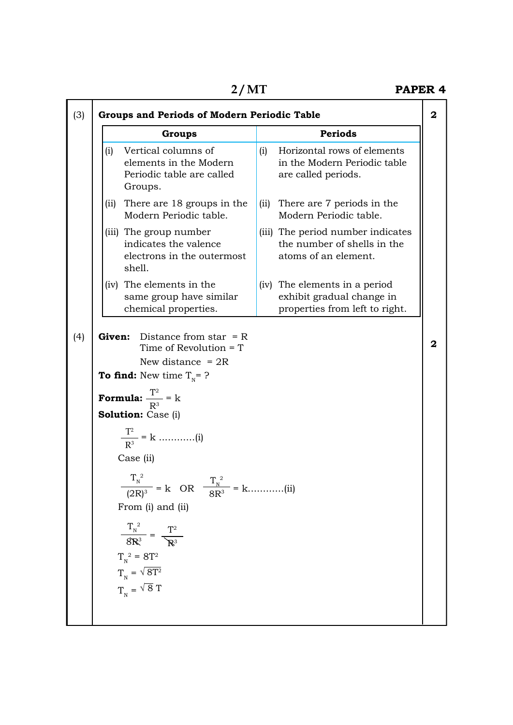×

|      | <b>Groups</b>                                                                                              | <b>Periods</b>                                                                               |  |
|------|------------------------------------------------------------------------------------------------------------|----------------------------------------------------------------------------------------------|--|
| (i)  | Vertical columns of<br>elements in the Modern<br>Periodic table are called<br>Groups.                      | Horizontal rows of elements<br>(i)<br>in the Modern Periodic table<br>are called periods.    |  |
| (ii) | There are 18 groups in the<br>Modern Periodic table.                                                       | There are 7 periods in the<br>(ii)<br>Modern Periodic table.                                 |  |
|      | (iii) The group number<br>indicates the valence<br>electrons in the outermost<br>shell.                    | (iii) The period number indicates<br>the number of shells in the<br>atoms of an element.     |  |
|      | (iv) The elements in the<br>same group have similar<br>chemical properties.                                | (iv) The elements in a period<br>exhibit gradual change in<br>properties from left to right. |  |
|      | <b>To find:</b> New time $T_{N} = ?$<br><b>Formula:</b> $\frac{T^2}{R^3} = k$<br><b>Solution:</b> Case (i) |                                                                                              |  |
|      | Case (ii)                                                                                                  |                                                                                              |  |
|      | $rac{T_{\text{N}}^2}{(2R)^3}$ = k OR $rac{T_{\text{N}}^2}{8R^3}$ = k(ii)                                   |                                                                                              |  |
|      | From (i) and (ii)<br>$rac{T_{N}^{2}}{8R^{3}} = \frac{T^{2}}{R^{3}}$                                        |                                                                                              |  |
|      | $T_{\textrm{\tiny N}}^{\textrm{-2}} = 8 T^2$<br>$\text{T}_{\textrm{\tiny N}}=\sqrt{8\text{T}^2}$           |                                                                                              |  |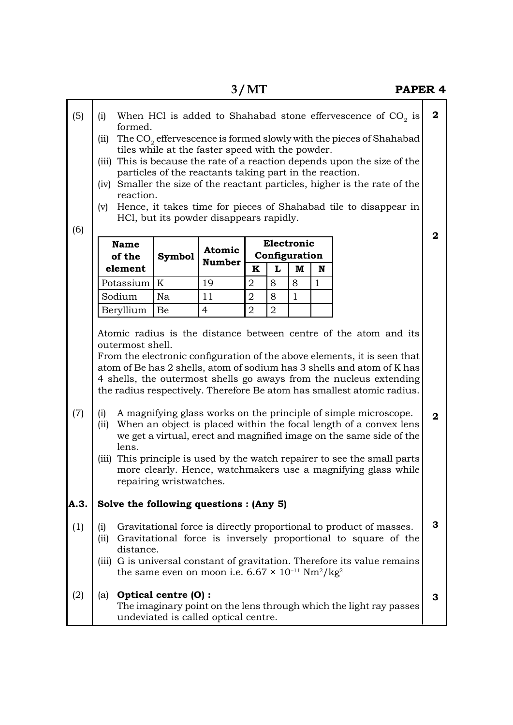| (5)<br>(6) | When HCl is added to Shahabad stone effervescence of $CO2$ is<br>(i)<br>formed.<br>The CO <sub>2</sub> effervescence is formed slowly with the pieces of Shahabad<br>(ii)<br>tiles while at the faster speed with the powder.<br>(iii) This is because the rate of a reaction depends upon the size of the<br>particles of the reactants taking part in the reaction.<br>(iv) Smaller the size of the reactant particles, higher is the rate of the<br>reaction.<br>Hence, it takes time for pieces of Shahabad tile to disappear in<br>(v)<br>HCl, but its powder disappears rapidly. |                                                                                                                                                                                                                                                                                                                                                                                                                                                                                                                                                                                                                                                                                                                                                                              |                                      |                |                |                              | $\overline{2}$<br>$\overline{2}$ |                                                                    |              |  |
|------------|----------------------------------------------------------------------------------------------------------------------------------------------------------------------------------------------------------------------------------------------------------------------------------------------------------------------------------------------------------------------------------------------------------------------------------------------------------------------------------------------------------------------------------------------------------------------------------------|------------------------------------------------------------------------------------------------------------------------------------------------------------------------------------------------------------------------------------------------------------------------------------------------------------------------------------------------------------------------------------------------------------------------------------------------------------------------------------------------------------------------------------------------------------------------------------------------------------------------------------------------------------------------------------------------------------------------------------------------------------------------------|--------------------------------------|----------------|----------------|------------------------------|----------------------------------|--------------------------------------------------------------------|--------------|--|
|            | <b>Name</b>                                                                                                                                                                                                                                                                                                                                                                                                                                                                                                                                                                            |                                                                                                                                                                                                                                                                                                                                                                                                                                                                                                                                                                                                                                                                                                                                                                              | <b>Atomic</b>                        |                |                | Electronic                   |                                  |                                                                    |              |  |
|            | of the<br>element                                                                                                                                                                                                                                                                                                                                                                                                                                                                                                                                                                      | <b>Symbol</b>                                                                                                                                                                                                                                                                                                                                                                                                                                                                                                                                                                                                                                                                                                                                                                | <b>Number</b>                        | $\mathbf K$    | L              | Configuration<br>$\mathbf M$ | N                                |                                                                    |              |  |
|            | Potassium                                                                                                                                                                                                                                                                                                                                                                                                                                                                                                                                                                              | $\boldsymbol{K}$                                                                                                                                                                                                                                                                                                                                                                                                                                                                                                                                                                                                                                                                                                                                                             | 19                                   | $\overline{2}$ | 8              | 8                            | $\mathbf{1}$                     |                                                                    |              |  |
|            | Sodium                                                                                                                                                                                                                                                                                                                                                                                                                                                                                                                                                                                 | Na                                                                                                                                                                                                                                                                                                                                                                                                                                                                                                                                                                                                                                                                                                                                                                           | 11                                   | $\overline{2}$ | 8              | $\mathbf{1}$                 |                                  |                                                                    |              |  |
|            | Beryllium                                                                                                                                                                                                                                                                                                                                                                                                                                                                                                                                                                              | Be                                                                                                                                                                                                                                                                                                                                                                                                                                                                                                                                                                                                                                                                                                                                                                           | $\overline{4}$                       | $\overline{2}$ | $\overline{2}$ |                              |                                  |                                                                    |              |  |
| (7)        | (i)<br>(ii)<br>lens.<br>(iii)                                                                                                                                                                                                                                                                                                                                                                                                                                                                                                                                                          | Atomic radius is the distance between centre of the atom and its<br>outermost shell.<br>From the electronic configuration of the above elements, it is seen that<br>atom of Be has 2 shells, atom of sodium has 3 shells and atom of K has<br>4 shells, the outermost shells go aways from the nucleus extending<br>the radius respectively. Therefore Be atom has smallest atomic radius.<br>A magnifying glass works on the principle of simple microscope.<br>When an object is placed within the focal length of a convex lens<br>we get a virtual, erect and magnified image on the same side of the<br>This principle is used by the watch repairer to see the small parts<br>more clearly. Hence, watchmakers use a magnifying glass while<br>repairing wristwatches. |                                      |                |                |                              |                                  |                                                                    | $\mathbf{2}$ |  |
| A.3.       | Solve the following questions : (Any 5)                                                                                                                                                                                                                                                                                                                                                                                                                                                                                                                                                |                                                                                                                                                                                                                                                                                                                                                                                                                                                                                                                                                                                                                                                                                                                                                                              |                                      |                |                |                              |                                  |                                                                    |              |  |
| (1)        | Gravitational force is directly proportional to product of masses.<br>(i)<br>Gravitational force is inversely proportional to square of the<br>(ii)<br>distance.<br>(iii) G is universal constant of gravitation. Therefore its value remains<br>the same even on moon i.e. $6.67 \times 10^{-11}$ Nm <sup>2</sup> /kg <sup>2</sup>                                                                                                                                                                                                                                                    |                                                                                                                                                                                                                                                                                                                                                                                                                                                                                                                                                                                                                                                                                                                                                                              |                                      |                |                |                              | 3                                |                                                                    |              |  |
| (2)        | (a)                                                                                                                                                                                                                                                                                                                                                                                                                                                                                                                                                                                    | Optical centre (O):                                                                                                                                                                                                                                                                                                                                                                                                                                                                                                                                                                                                                                                                                                                                                          | undeviated is called optical centre. |                |                |                              |                                  | The imaginary point on the lens through which the light ray passes | 3            |  |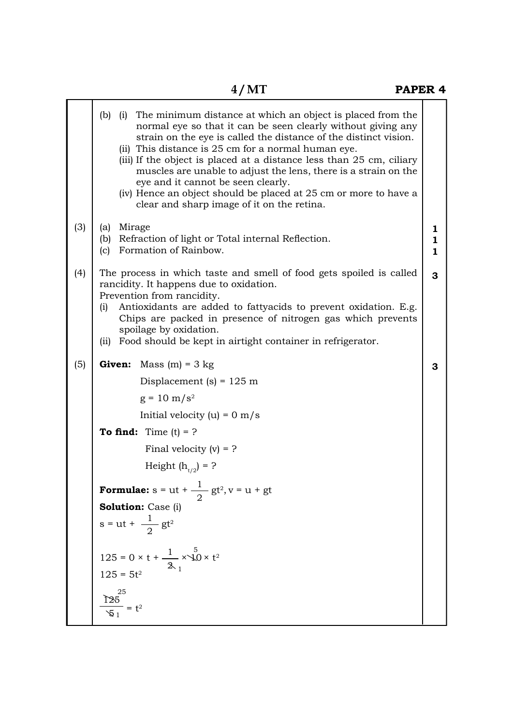|     | The minimum distance at which an object is placed from the<br>$(b)$ (i)<br>normal eye so that it can be seen clearly without giving any<br>strain on the eye is called the distance of the distinct vision.<br>(ii) This distance is 25 cm for a normal human eye.<br>(iii) If the object is placed at a distance less than 25 cm, ciliary<br>muscles are unable to adjust the lens, there is a strain on the<br>eye and it cannot be seen clearly.<br>(iv) Hence an object should be placed at 25 cm or more to have a<br>clear and sharp image of it on the retina. |                        |
|-----|-----------------------------------------------------------------------------------------------------------------------------------------------------------------------------------------------------------------------------------------------------------------------------------------------------------------------------------------------------------------------------------------------------------------------------------------------------------------------------------------------------------------------------------------------------------------------|------------------------|
| (3) | Mirage<br>(a)<br>Refraction of light or Total internal Reflection.<br>(b)<br>Formation of Rainbow.<br>(c)                                                                                                                                                                                                                                                                                                                                                                                                                                                             | ı<br>$\mathbf{1}$<br>1 |
| (4) | The process in which taste and smell of food gets spoiled is called<br>rancidity. It happens due to oxidation.<br>Prevention from rancidity.<br>Antioxidants are added to fattyacids to prevent oxidation. E.g.<br>(i)<br>Chips are packed in presence of nitrogen gas which prevents<br>spoilage by oxidation.<br>Food should be kept in airtight container in refrigerator.<br>(ii)                                                                                                                                                                                 | 3                      |
| (5) | Mass $(m) = 3$ kg<br>Given:                                                                                                                                                                                                                                                                                                                                                                                                                                                                                                                                           | 3                      |
|     | Displacement (s) = $125 \text{ m}$                                                                                                                                                                                                                                                                                                                                                                                                                                                                                                                                    |                        |
|     | $g = 10 \text{ m/s}^2$                                                                                                                                                                                                                                                                                                                                                                                                                                                                                                                                                |                        |
|     | Initial velocity (u) = $0 \text{ m/s}$                                                                                                                                                                                                                                                                                                                                                                                                                                                                                                                                |                        |
|     | <b>To find:</b> Time $(t) = ?$                                                                                                                                                                                                                                                                                                                                                                                                                                                                                                                                        |                        |
|     | Final velocity $(v) = ?$                                                                                                                                                                                                                                                                                                                                                                                                                                                                                                                                              |                        |
|     | Height $(h_{t/2}) = ?$                                                                                                                                                                                                                                                                                                                                                                                                                                                                                                                                                |                        |
|     | <b>Formulae:</b> s = ut + $\frac{1}{2}$ gt <sup>2</sup> , v = u + gt                                                                                                                                                                                                                                                                                                                                                                                                                                                                                                  |                        |
|     | Solution: Case (i)                                                                                                                                                                                                                                                                                                                                                                                                                                                                                                                                                    |                        |
|     | $s = ut + \frac{1}{2}gt^2$                                                                                                                                                                                                                                                                                                                                                                                                                                                                                                                                            |                        |
|     | 125 = $0 \times t + \frac{1}{2} \times 10 \times t^2$<br>$125 = 5t^2$                                                                                                                                                                                                                                                                                                                                                                                                                                                                                                 |                        |
|     | $\frac{\sum_{3}^{25}}{\sqrt{21}} = t^2$                                                                                                                                                                                                                                                                                                                                                                                                                                                                                                                               |                        |
|     |                                                                                                                                                                                                                                                                                                                                                                                                                                                                                                                                                                       |                        |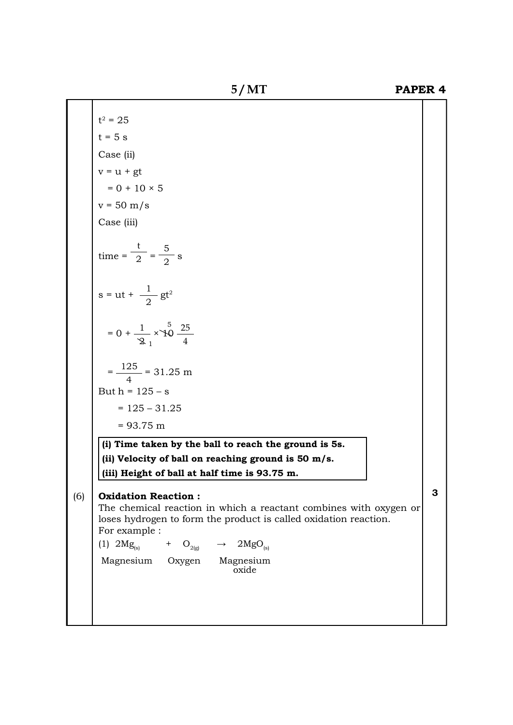**5 / MT PAPER 4**

$$
s = ut + \frac{1}{2}gt^{2}
$$
  
= 0 +  $\frac{1}{2}$  ×  $\frac{5}{10}$   $\frac{25}{4}$   
=  $\frac{125}{4}$  = 31.25 m  
But h = 125 - s  
= 125 - 31.25

t

 $\overline{2}$  =  $\overline{2}$  s

5  $\frac{1}{2}$  s

 $t^2 = 25$  $t = 5$  s

> Case (ii)  $v = u + gt$

> > $= 0 + 10 \times 5$

 $v = 50$  m/s

Case (iii)

 $\tan \theta = \frac{\pi}{2} = \frac{\pi}{2}$ 

 $= 93.75$  m

**(i) Time taken by the ball to reach the ground is 5s. (ii) Velocity of ball on reaching ground is 50 m/s. (iii) Height of ball at half time is 93.75 m.**

## (6) **Oxidation Reaction :**

The chemical reaction in which a reactant combines with oxygen or loses hydrogen to form the product is called oxidation reaction. For example :

(1)  $2Mg_{(s)}$  + O<sub>2(g)</sub>  $\rightarrow$   $2MgO_{(s)}$ 

Magnesium Oxygen Magnesium oxide

**3**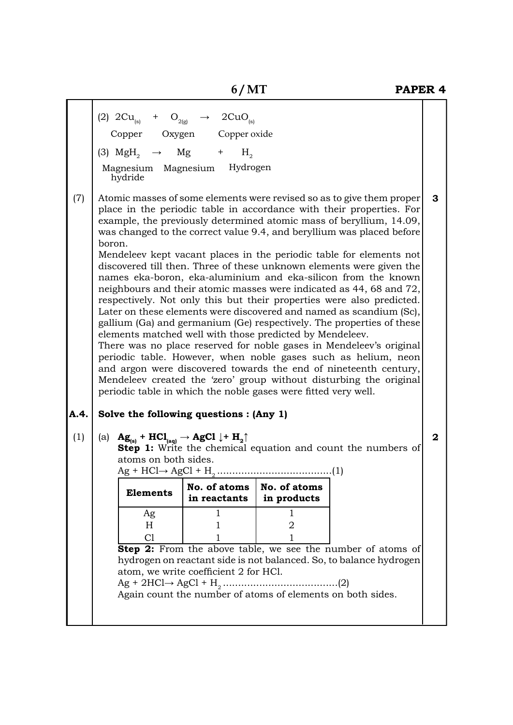| hydride                                                  | $H_{\circ}$      |                                                                                                                                                                                                                                                                                                                                                                                                                                                                                                                                                                                                                                                                                                                                                                                                                                                                                                                                                                                                                                                                                                                                                                                                                                                                                                                                                                                                                                                                                                                                                                                                                                                                                                                                                                                                                                                                                                                                    |  |
|----------------------------------------------------------|------------------|------------------------------------------------------------------------------------------------------------------------------------------------------------------------------------------------------------------------------------------------------------------------------------------------------------------------------------------------------------------------------------------------------------------------------------------------------------------------------------------------------------------------------------------------------------------------------------------------------------------------------------------------------------------------------------------------------------------------------------------------------------------------------------------------------------------------------------------------------------------------------------------------------------------------------------------------------------------------------------------------------------------------------------------------------------------------------------------------------------------------------------------------------------------------------------------------------------------------------------------------------------------------------------------------------------------------------------------------------------------------------------------------------------------------------------------------------------------------------------------------------------------------------------------------------------------------------------------------------------------------------------------------------------------------------------------------------------------------------------------------------------------------------------------------------------------------------------------------------------------------------------------------------------------------------------|--|
| boron.                                                   |                  | 3                                                                                                                                                                                                                                                                                                                                                                                                                                                                                                                                                                                                                                                                                                                                                                                                                                                                                                                                                                                                                                                                                                                                                                                                                                                                                                                                                                                                                                                                                                                                                                                                                                                                                                                                                                                                                                                                                                                                  |  |
|                                                          |                  |                                                                                                                                                                                                                                                                                                                                                                                                                                                                                                                                                                                                                                                                                                                                                                                                                                                                                                                                                                                                                                                                                                                                                                                                                                                                                                                                                                                                                                                                                                                                                                                                                                                                                                                                                                                                                                                                                                                                    |  |
| atoms on both sides.<br><b>Elements</b><br>Ag<br>H<br>C1 | in products<br>2 | $\mathbf{2}$                                                                                                                                                                                                                                                                                                                                                                                                                                                                                                                                                                                                                                                                                                                                                                                                                                                                                                                                                                                                                                                                                                                                                                                                                                                                                                                                                                                                                                                                                                                                                                                                                                                                                                                                                                                                                                                                                                                       |  |
|                                                          |                  | (2) $2Cu_{(s)}$ + $O_{2(g)}$ $\rightarrow$ $2CuO_{(s)}$<br>Copper Oxygen Copper oxide<br>(3) MgH <sub>2</sub> $\rightarrow$ Mg +<br>Magnesium Magnesium Hydrogen<br>Atomic masses of some elements were revised so as to give them proper<br>place in the periodic table in accordance with their properties. For<br>example, the previously determined atomic mass of beryllium, 14.09,<br>was changed to the correct value 9.4, and beryllium was placed before<br>Mendeleev kept vacant places in the periodic table for elements not<br>discovered till then. Three of these unknown elements were given the<br>names eka-boron, eka-aluminium and eka-silicon from the known<br>neighbours and their atomic masses were indicated as 44, 68 and 72,<br>respectively. Not only this but their properties were also predicted.<br>Later on these elements were discovered and named as scandium (Sc),<br>gallium (Ga) and germanium (Ge) respectively. The properties of these<br>elements matched well with those predicted by Mendeleev.<br>There was no place reserved for noble gases in Mendeleev's original<br>periodic table. However, when noble gases such as helium, neon<br>and argon were discovered towards the end of nineteenth century,<br>Mendeleev created the 'zero' group without disturbing the original<br>periodic table in which the noble gases were fitted very well.<br>Solve the following questions : (Any 1)<br>(a) $\mathbf{Ag}_{(s)}$ + $\mathbf{HCl}_{(aq)}$ $\rightarrow$ $\mathbf{AgCl}$ $\downarrow$ + $\mathbf{H}_{2}$ <sup><math>\uparrow</math></sup><br>Step 1: Write the chemical equation and count the numbers of<br>in reactants<br><b>Step 2:</b> From the above table, we see the number of atoms of<br>hydrogen on reactant side is not balanced. So, to balance hydrogen<br>atom, we write coefficient 2 for HCl.<br>Again count the number of atoms of elements on both sides. |  |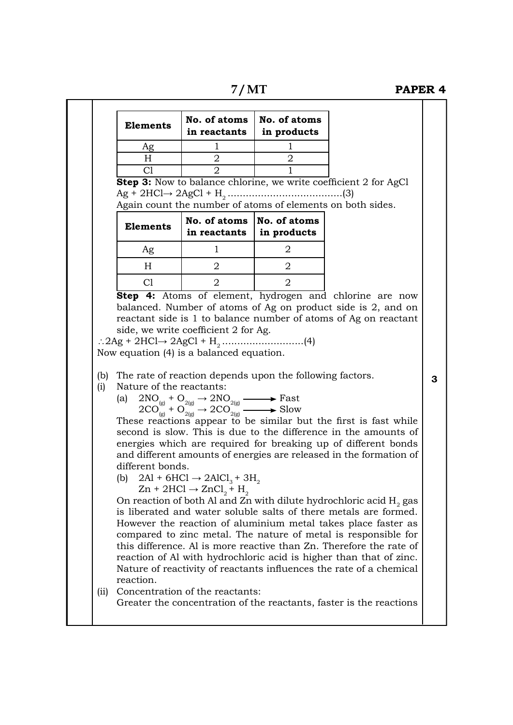**7 / MT PAPER 4**

|            | <b>Elements</b>                                                  | No. of atoms<br>in reactants                                                                                                                                                                                                                                                                                                                                                                                                                                                                                         | No. of atoms<br>in products   |                                                                                                                                                                                                                                                                                                                                                                                                                                                                                                                                                                                                                                                                                                                                                                                 |   |
|------------|------------------------------------------------------------------|----------------------------------------------------------------------------------------------------------------------------------------------------------------------------------------------------------------------------------------------------------------------------------------------------------------------------------------------------------------------------------------------------------------------------------------------------------------------------------------------------------------------|-------------------------------|---------------------------------------------------------------------------------------------------------------------------------------------------------------------------------------------------------------------------------------------------------------------------------------------------------------------------------------------------------------------------------------------------------------------------------------------------------------------------------------------------------------------------------------------------------------------------------------------------------------------------------------------------------------------------------------------------------------------------------------------------------------------------------|---|
|            | Ag                                                               | 1                                                                                                                                                                                                                                                                                                                                                                                                                                                                                                                    | 1                             |                                                                                                                                                                                                                                                                                                                                                                                                                                                                                                                                                                                                                                                                                                                                                                                 |   |
|            | H                                                                | 2                                                                                                                                                                                                                                                                                                                                                                                                                                                                                                                    | $\overline{2}$                |                                                                                                                                                                                                                                                                                                                                                                                                                                                                                                                                                                                                                                                                                                                                                                                 |   |
|            | C1                                                               | $\overline{2}$                                                                                                                                                                                                                                                                                                                                                                                                                                                                                                       |                               | Step 3: Now to balance chlorine, we write coefficient 2 for AgCl                                                                                                                                                                                                                                                                                                                                                                                                                                                                                                                                                                                                                                                                                                                |   |
|            | <b>Elements</b><br>Ag                                            | Again count the number of atoms of elements on both sides.<br>No. of atoms   No. of atoms<br>in reactants<br>$\mathbf{1}$                                                                                                                                                                                                                                                                                                                                                                                            | in products<br>$\overline{2}$ |                                                                                                                                                                                                                                                                                                                                                                                                                                                                                                                                                                                                                                                                                                                                                                                 |   |
|            | H                                                                | $\overline{2}$                                                                                                                                                                                                                                                                                                                                                                                                                                                                                                       | $\overline{2}$                |                                                                                                                                                                                                                                                                                                                                                                                                                                                                                                                                                                                                                                                                                                                                                                                 |   |
|            | C1                                                               | $\overline{2}$                                                                                                                                                                                                                                                                                                                                                                                                                                                                                                       | $\overline{2}$                |                                                                                                                                                                                                                                                                                                                                                                                                                                                                                                                                                                                                                                                                                                                                                                                 |   |
|            |                                                                  |                                                                                                                                                                                                                                                                                                                                                                                                                                                                                                                      |                               |                                                                                                                                                                                                                                                                                                                                                                                                                                                                                                                                                                                                                                                                                                                                                                                 |   |
| (b)<br>(i) | Nature of the reactants:<br>(a)<br>different bonds.<br>reaction. | Now equation (4) is a balanced equation.<br>The rate of reaction depends upon the following factors.<br>$\begin{array}{ccc}\n2\text{NO}_{\text{\tiny{(g)}}} + \text{O}_{\text{2(g)}} \rightarrow 2\text{NO}_{\text{2(g)}} &\longrightarrow \text{Fast} \\ 2\text{CO}_{\text{\tiny{(g)}}} + \text{O}_{\text{2(g)}} \rightarrow 2\text{CO}_{\text{2(g)}} &\longrightarrow \text{Slow}\n\end{array}$<br>(b) $2\text{Al} + 6\text{HCl} \rightarrow 2\text{AlCl}_3 + 3\text{H}_2$<br>$Zn + 2HCl \rightarrow ZnCl_2 + H_2$ |                               | These reactions appear to be similar but the first is fast while<br>second is slow. This is due to the difference in the amounts of<br>energies which are required for breaking up of different bonds<br>and different amounts of energies are released in the formation of<br>On reaction of both Al and Zn with dilute hydrochloric acid $H_2$ gas<br>is liberated and water soluble salts of there metals are formed.<br>However the reaction of aluminium metal takes place faster as<br>compared to zinc metal. The nature of metal is responsible for<br>this difference. Al is more reactive than Zn. Therefore the rate of<br>reaction of Al with hydrochloric acid is higher than that of zinc.<br>Nature of reactivity of reactants influences the rate of a chemical | 3 |